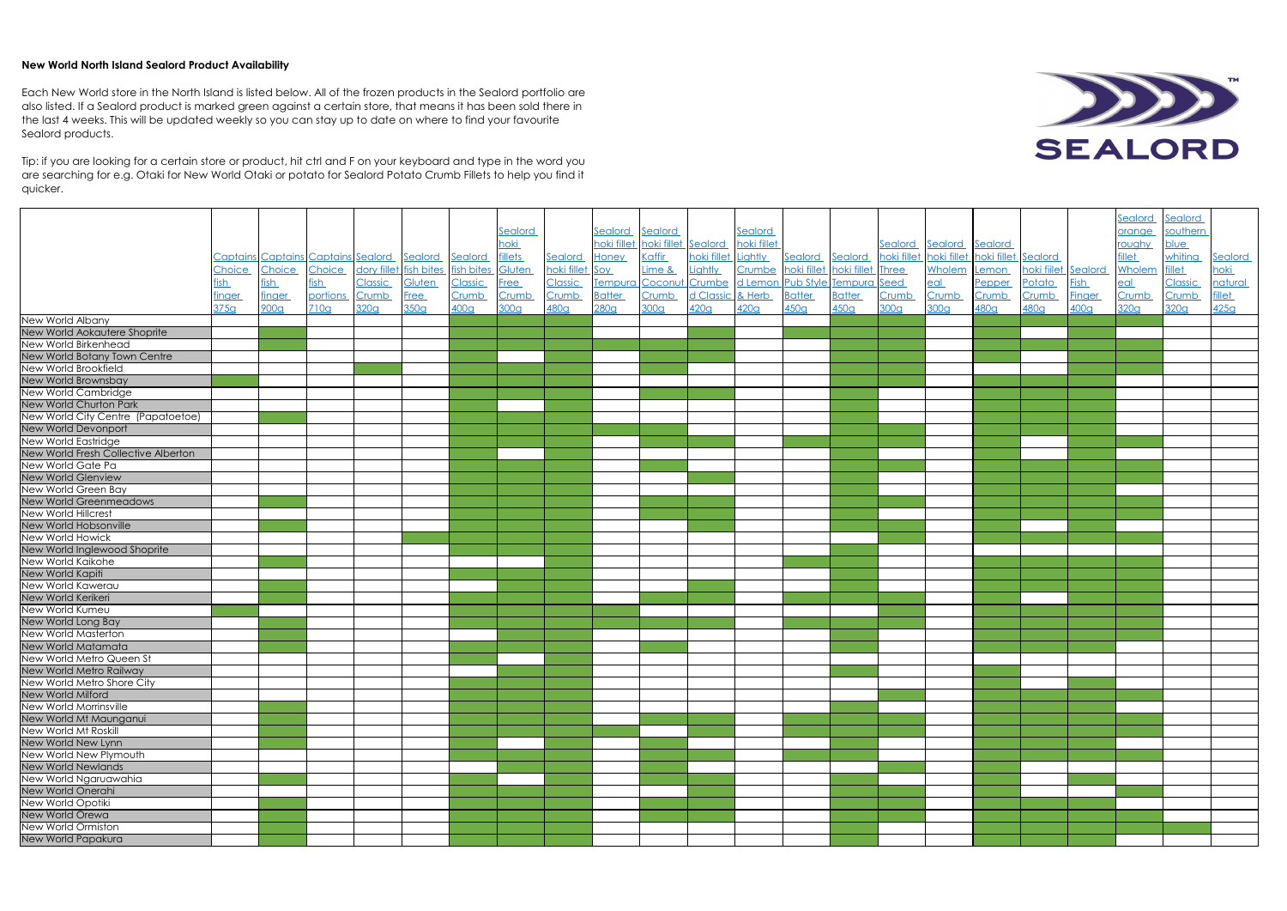## **New World North Island Sealord Product Availability**

|                                     |               |                                                            |          |         |                                          |                  |                  |                 |                 |                  |                  |                    |                                      |               |                  |                         |              |                     |                  | Sealord          | <u>Sealord</u>   |              |
|-------------------------------------|---------------|------------------------------------------------------------|----------|---------|------------------------------------------|------------------|------------------|-----------------|-----------------|------------------|------------------|--------------------|--------------------------------------|---------------|------------------|-------------------------|--------------|---------------------|------------------|------------------|------------------|--------------|
|                                     |               |                                                            |          |         |                                          |                  | Sealord          |                 | Sealord Sealord |                  |                  | Sealord            |                                      |               |                  |                         |              |                     |                  | prange           | southern         |              |
|                                     |               |                                                            |          |         |                                          |                  | <b>oki</b>       |                 | hoki fillet     | noki fillet      | Sealord          | <b>noki fillet</b> |                                      |               | Sealord          | <b>Sealord</b>          | Sealord      |                     |                  | roughy           | blue             |              |
|                                     |               | <u> Captains Captains Captains Sealord Sealord Sealord</u> |          |         |                                          |                  | <b>fillets</b>   | Sealord         | <b>Honey</b>    | Kaffir           | hoki fillet      | Lightly            | Sealord                              | Sealord       | hoki fillet      | hoki fillet hoki fillet |              | Sealord             |                  | <u>illet</u>     | whiting          | Sealord      |
|                                     | Choice        | Choice                                                     | Choice   |         | dory fillet fish bites fish bites Gluten |                  |                  | hoki fillet Soy |                 | Lime &           | Lightly          |                    | Crumbe hoki fillet hoki fillet Three |               |                  | Wholem                  | Lemon        | hoki fiilet Sealord |                  | Wholem           | fillet           | hoki         |
|                                     | ïsh           | <u>fish</u>                                                | fish     | Classic | Gluten                                   | <u>Classic</u>   | <b>Free</b>      | <b>Classic</b>  | Tempura Coconu  |                  | Crumbe           |                    | d Lemon Pub Style Tempura Seed       |               |                  | <u>eal</u>              | Pepper       | Potato              | <u>ish</u>       | $e$ al           | Classic          | natural      |
|                                     | <u>finger</u> | <u>finger</u>                                              | portions | Crumb   | <b>Free</b>                              | <u>Crumb</u>     | Crumb            | Crumb           | <b>Batter</b>   | <u>Crumb</u>     | <u>d Classic</u> | & Herb             | <b>Batter</b>                        | <b>Batter</b> | <u>Crumb</u>     | <b>Crumb</b>            | <u>Crumb</u> | <u>Crumb</u>        | <u>Finger</u>    | <b>Crumb</b>     | Crumb            | <u>illet</u> |
|                                     | 375g          | 900 <sub>g</sub>                                           | 710g     | 320q    | 350q                                     | 400 <sub>q</sub> | 300 <sub>g</sub> | 480g            | 280q            | 300 <sub>9</sub> | 420g             | 420g               | 450 <sub>q</sub>                     | 450q          | 300 <sub>q</sub> | 300 <sub>q</sub>        | 480g         | 480q                | 400 <sub>q</sub> | 320 <sub>g</sub> | 320 <sub>9</sub> | 425g         |
| New World Albany                    |               |                                                            |          |         |                                          |                  |                  |                 |                 |                  |                  |                    |                                      |               |                  |                         |              |                     |                  |                  |                  |              |
| New World Aokautere Shoprite        |               |                                                            |          |         |                                          |                  |                  |                 |                 |                  |                  |                    |                                      |               |                  |                         |              |                     |                  |                  |                  |              |
| New World Birkenhead                |               |                                                            |          |         |                                          |                  |                  |                 |                 |                  |                  |                    |                                      |               |                  |                         |              |                     |                  |                  |                  |              |
| New World Botany Town Centre        |               |                                                            |          |         |                                          |                  |                  |                 |                 |                  |                  |                    |                                      |               |                  |                         |              |                     |                  |                  |                  |              |
| New World Brookfield                |               |                                                            |          |         |                                          |                  |                  |                 |                 |                  |                  |                    |                                      |               |                  |                         |              |                     |                  |                  |                  |              |
| New World Brownsbay                 |               |                                                            |          |         |                                          |                  |                  |                 |                 |                  |                  |                    |                                      |               |                  |                         |              |                     |                  |                  |                  |              |
| New World Cambridge                 |               |                                                            |          |         |                                          |                  |                  |                 |                 |                  |                  |                    |                                      |               |                  |                         |              |                     |                  |                  |                  |              |
| New World Churton Park              |               |                                                            |          |         |                                          |                  |                  |                 |                 |                  |                  |                    |                                      |               |                  |                         |              |                     |                  |                  |                  |              |
| New World City Centre (Papatoetoe)  |               |                                                            |          |         |                                          |                  |                  |                 |                 |                  |                  |                    |                                      |               |                  |                         |              |                     |                  |                  |                  |              |
| New World Devonport                 |               |                                                            |          |         |                                          |                  |                  |                 |                 |                  |                  |                    |                                      |               |                  |                         |              |                     |                  |                  |                  |              |
| New World Eastridge                 |               |                                                            |          |         |                                          |                  |                  |                 |                 |                  |                  |                    |                                      |               |                  |                         |              |                     |                  |                  |                  |              |
| New World Fresh Collective Alberton |               |                                                            |          |         |                                          |                  |                  |                 |                 |                  |                  |                    |                                      |               |                  |                         |              |                     |                  |                  |                  |              |
| New World Gate Pa                   |               |                                                            |          |         |                                          |                  |                  |                 |                 |                  |                  |                    |                                      |               |                  |                         |              |                     |                  |                  |                  |              |
| <b>New World Glenview</b>           |               |                                                            |          |         |                                          |                  |                  |                 |                 |                  |                  |                    |                                      |               |                  |                         |              |                     |                  |                  |                  |              |
| New World Green Bay                 |               |                                                            |          |         |                                          |                  |                  |                 |                 |                  |                  |                    |                                      |               |                  |                         |              |                     |                  |                  |                  |              |
| <b>New World Greenmeadows</b>       |               |                                                            |          |         |                                          |                  |                  |                 |                 |                  |                  |                    |                                      |               |                  |                         |              |                     |                  |                  |                  |              |
| <b>New World Hillcrest</b>          |               |                                                            |          |         |                                          |                  |                  |                 |                 |                  |                  |                    |                                      |               |                  |                         |              |                     |                  |                  |                  |              |
| New World Hobsonville               |               |                                                            |          |         |                                          |                  |                  |                 |                 |                  |                  |                    |                                      |               |                  |                         |              |                     |                  |                  |                  |              |
| New World Howick                    |               |                                                            |          |         |                                          |                  |                  |                 |                 |                  |                  |                    |                                      |               |                  |                         |              |                     |                  |                  |                  |              |
| New World Inglewood Shoprite        |               |                                                            |          |         |                                          |                  |                  |                 |                 |                  |                  |                    |                                      |               |                  |                         |              |                     |                  |                  |                  |              |
| New World Kaikohe                   |               |                                                            |          |         |                                          |                  |                  |                 |                 |                  |                  |                    |                                      |               |                  |                         |              |                     |                  |                  |                  |              |
| New World Kapiti                    |               |                                                            |          |         |                                          |                  |                  |                 |                 |                  |                  |                    |                                      |               |                  |                         |              |                     |                  |                  |                  |              |
| New World Kawerau                   |               |                                                            |          |         |                                          |                  |                  |                 |                 |                  |                  |                    |                                      |               |                  |                         |              |                     |                  |                  |                  |              |
| New World Kerikeri                  |               |                                                            |          |         |                                          |                  |                  |                 |                 |                  |                  |                    |                                      |               |                  |                         |              |                     |                  |                  |                  |              |
| New World Kumeu                     |               |                                                            |          |         |                                          |                  |                  |                 |                 |                  |                  |                    |                                      |               |                  |                         |              |                     |                  |                  |                  |              |
| New World Long Bay                  |               |                                                            |          |         |                                          |                  |                  |                 |                 |                  |                  |                    |                                      |               |                  |                         |              |                     |                  |                  |                  |              |
| New World Masterton                 |               |                                                            |          |         |                                          |                  |                  |                 |                 |                  |                  |                    |                                      |               |                  |                         |              |                     |                  |                  |                  |              |
| New World Matamata                  |               |                                                            |          |         |                                          |                  |                  |                 |                 |                  |                  |                    |                                      |               |                  |                         |              |                     |                  |                  |                  |              |
| New World Metro Queen St            |               |                                                            |          |         |                                          |                  |                  |                 |                 |                  |                  |                    |                                      |               |                  |                         |              |                     |                  |                  |                  |              |
| New World Metro Railway             |               |                                                            |          |         |                                          |                  |                  |                 |                 |                  |                  |                    |                                      |               |                  |                         |              |                     |                  |                  |                  |              |
| New World Metro Shore City          |               |                                                            |          |         |                                          |                  |                  |                 |                 |                  |                  |                    |                                      |               |                  |                         |              |                     |                  |                  |                  |              |
| New World Milford                   |               |                                                            |          |         |                                          |                  |                  |                 |                 |                  |                  |                    |                                      |               |                  |                         |              |                     |                  |                  |                  |              |
| New World Morrinsville              |               |                                                            |          |         |                                          |                  |                  |                 |                 |                  |                  |                    |                                      |               |                  |                         |              |                     |                  |                  |                  |              |
| New World Mt Maunganui              |               |                                                            |          |         |                                          |                  |                  |                 |                 |                  |                  |                    |                                      |               |                  |                         |              |                     |                  |                  |                  |              |
| New World Mt Roskill                |               |                                                            |          |         |                                          |                  |                  |                 |                 |                  |                  |                    |                                      |               |                  |                         |              |                     |                  |                  |                  |              |
| New World New Lynn                  |               |                                                            |          |         |                                          |                  |                  |                 |                 |                  |                  |                    |                                      |               |                  |                         |              |                     |                  |                  |                  |              |
| New World New Plymouth              |               |                                                            |          |         |                                          |                  |                  |                 |                 |                  |                  |                    |                                      |               |                  |                         |              |                     |                  |                  |                  |              |
| <b>New World Newlands</b>           |               |                                                            |          |         |                                          |                  |                  |                 |                 |                  |                  |                    |                                      |               |                  |                         |              |                     |                  |                  |                  |              |
| New World Ngaruawahia               |               |                                                            |          |         |                                          |                  |                  |                 |                 |                  |                  |                    |                                      |               |                  |                         |              |                     |                  |                  |                  |              |
| New World Onerahi                   |               |                                                            |          |         |                                          |                  |                  |                 |                 |                  |                  |                    |                                      |               |                  |                         |              |                     |                  |                  |                  |              |
| New World Opotiki                   |               |                                                            |          |         |                                          |                  |                  |                 |                 |                  |                  |                    |                                      |               |                  |                         |              |                     |                  |                  |                  |              |
| New World Orewa                     |               |                                                            |          |         |                                          |                  |                  |                 |                 |                  |                  |                    |                                      |               |                  |                         |              |                     |                  |                  |                  |              |
| New World Ormiston                  |               |                                                            |          |         |                                          |                  |                  |                 |                 |                  |                  |                    |                                      |               |                  |                         |              |                     |                  |                  |                  |              |
| New World Papakura                  |               |                                                            |          |         |                                          |                  |                  |                 |                 |                  |                  |                    |                                      |               |                  |                         |              |                     |                  |                  |                  |              |



Each New World store in the North Island is listed below. All of the frozen products in the Sealord portfolio are also listed. If a Sealord product is marked green against a certain store, that means it has been sold there in the last 4 weeks. This will be updated weekly so you can stay up to date on where to find your favourite Sealord products.

Tip: if you are looking for a certain store or product, hit ctrl and F on your keyboard and type in the word you are searching for e.g. Otaki for New World Otaki or potato for Sealord Potato Crumb Fillets to help you find it quicker.